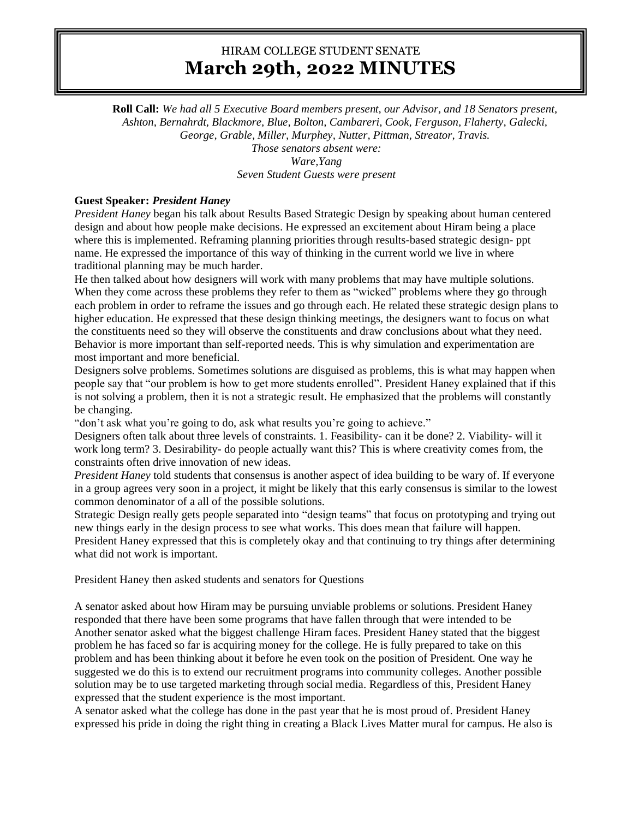## HIRAM COLLEGE STUDENT SENATE **March 29th, 2022 MINUTES**

**Roll Call:** *We had all 5 Executive Board members present, our Advisor, and 18 Senators present, Ashton, Bernahrdt, Blackmore, Blue, Bolton, Cambareri, Cook, Ferguson, Flaherty, Galecki, George, Grable, Miller, Murphey, Nutter, Pittman, Streator, Travis. Those senators absent were: Ware,Yang Seven Student Guests were present*

**Guest Speaker:** *President Haney* 

*President Haney* began his talk about Results Based Strategic Design by speaking about human centered design and about how people make decisions. He expressed an excitement about Hiram being a place where this is implemented. Reframing planning priorities through results-based strategic design- ppt name. He expressed the importance of this way of thinking in the current world we live in where traditional planning may be much harder.

He then talked about how designers will work with many problems that may have multiple solutions. When they come across these problems they refer to them as "wicked" problems where they go through each problem in order to reframe the issues and go through each. He related these strategic design plans to higher education. He expressed that these design thinking meetings, the designers want to focus on what the constituents need so they will observe the constituents and draw conclusions about what they need. Behavior is more important than self-reported needs. This is why simulation and experimentation are most important and more beneficial.

Designers solve problems. Sometimes solutions are disguised as problems, this is what may happen when people say that "our problem is how to get more students enrolled". President Haney explained that if this is not solving a problem, then it is not a strategic result. He emphasized that the problems will constantly be changing.

"don't ask what you're going to do, ask what results you're going to achieve."

Designers often talk about three levels of constraints. 1. Feasibility- can it be done? 2. Viability- will it work long term? 3. Desirability- do people actually want this? This is where creativity comes from, the constraints often drive innovation of new ideas.

*President Haney* told students that consensus is another aspect of idea building to be wary of. If everyone in a group agrees very soon in a project, it might be likely that this early consensus is similar to the lowest common denominator of a all of the possible solutions.

Strategic Design really gets people separated into "design teams" that focus on prototyping and trying out new things early in the design process to see what works. This does mean that failure will happen. President Haney expressed that this is completely okay and that continuing to try things after determining what did not work is important.

President Haney then asked students and senators for Questions

A senator asked about how Hiram may be pursuing unviable problems or solutions. President Haney responded that there have been some programs that have fallen through that were intended to be Another senator asked what the biggest challenge Hiram faces. President Haney stated that the biggest problem he has faced so far is acquiring money for the college. He is fully prepared to take on this problem and has been thinking about it before he even took on the position of President. One way he suggested we do this is to extend our recruitment programs into community colleges. Another possible solution may be to use targeted marketing through social media. Regardless of this, President Haney expressed that the student experience is the most important.

A senator asked what the college has done in the past year that he is most proud of. President Haney expressed his pride in doing the right thing in creating a Black Lives Matter mural for campus. He also is